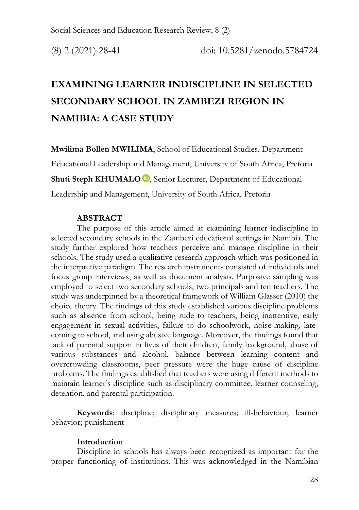# **EXAMINING LEARNER INDISCIPLINE IN SELECTED SECONDARY SCHOOL IN ZAMBEZI REGION IN NAMIBIA: A CASE STUDY**

**Mwilima Bollen MWILIMA**, School of Educational Studies, Department Educational Leadership and Management, University of South Africa, Pretoria **Shuti Steph KHUMALO D**, Senior Lecturer, Department of Educational Leadership and Management, University of South Africa, Pretoria

## **ABSTRACT**

The purpose of this article aimed at examining learner indiscipline in selected secondary schools in the Zambezi educational settings in Namibia. The study further explored how teachers perceive and manage discipline in their schools. The study used a qualitative research approach which was positioned in the interpretive paradigm. The research instruments consisted of individuals and focus group interviews, as well as document analysis. Purposive sampling was employed to select two secondary schools, two principals and ten teachers. The study was underpinned by a theoretical framework of William Glasser (2010) the choice theory. The findings of this study established various discipline problems such as absence from school, being rude to teachers, being inattentive, early engagement in sexual activities, failure to do schoolwork, noise-making, latecoming to school, and using abusive language. Moreover, the findings found that lack of parental support in lives of their children, family background, abuse of various substances and alcohol, balance between learning content and overcrowding classrooms, peer pressure were the huge cause of discipline problems. The findings established that teachers were using different methods to maintain learner's discipline such as disciplinary committee, learner counseling, detention, and parental participation.

**Keywords**: discipline; disciplinary measures; ill-behaviour; learner behavior; punishment

## **Introductio**n

Discipline in schools has always been recognized as important for the proper functioning of institutions. This was acknowledged in the Namibian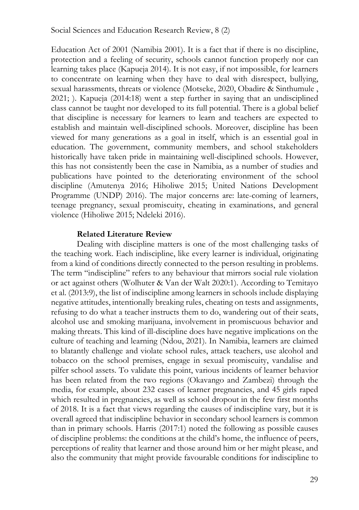Education Act of 2001 (Namibia 2001). It is a fact that if there is no discipline, protection and a feeling of security, schools cannot function properly nor can learning takes place (Kapueja 2014). It is not easy, if not impossible, for learners to concentrate on learning when they have to deal with disrespect, bullying, sexual harassments, threats or violence (Motseke, 2020, Obadire & Sinthumule , 2021; ). Kapueja (2014:18) went a step further in saying that an undisciplined class cannot be taught nor developed to its full potential. There is a global belief that discipline is necessary for learners to learn and teachers are expected to establish and maintain well-disciplined schools. Moreover, discipline has been viewed for many generations as a goal in itself, which is an essential goal in education. The government, community members, and school stakeholders historically have taken pride in maintaining well-disciplined schools. However, this has not consistently been the case in Namibia, as a number of studies and publications have pointed to the deteriorating environment of the school discipline (Amutenya 2016; Hiholiwe 2015; United Nations Development Programme (UNDP) 2016). The major concerns are: late-coming of learners, teenage pregnancy, sexual promiscuity, cheating in examinations, and general violence (Hiholiwe 2015; Ndeleki 2016).

#### **Related Literature Review**

Dealing with discipline matters is one of the most challenging tasks of the teaching work. Each indiscipline, like every learner is individual, originating from a kind of conditions directly connected to the person resulting in problems. The term "indiscipline" refers to any behaviour that mirrors social rule violation or act against others (Wolhuter & Van der Walt 2020:1). According to Temitayo et al. (2013:9), the list of indiscipline among learners in schools include displaying negative attitudes, intentionally breaking rules, cheating on tests and assignments, refusing to do what a teacher instructs them to do, wandering out of their seats, alcohol use and smoking marijuana, involvement in promiscuous behavior and making threats. This kind of ill-discipline does have negative implications on the culture of teaching and learning (Ndou, 2021). In Namibia, learners are claimed to blatantly challenge and violate school rules, attack teachers, use alcohol and tobacco on the school premises, engage in sexual promiscuity, vandalise and pilfer school assets. To validate this point, various incidents of learner behavior has been related from the two regions (Okavango and Zambezi) through the media, for example, about 232 cases of learner pregnancies, and 45 girls raped which resulted in pregnancies, as well as school dropout in the few first months of 2018. It is a fact that views regarding the causes of indiscipline vary, but it is overall agreed that indiscipline behavior in secondary school learners is common than in primary schools. Harris (2017:1) noted the following as possible causes of discipline problems: the conditions at the child's home, the influence of peers, perceptions of reality that learner and those around him or her might please, and also the community that might provide favourable conditions for indiscipline to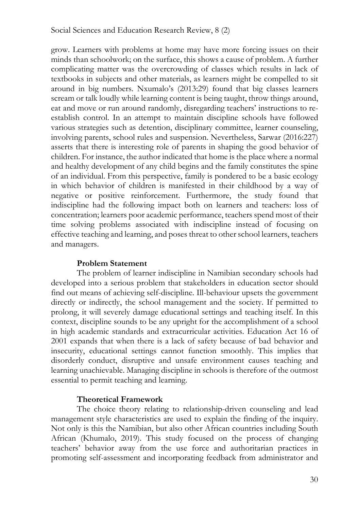grow. Learners with problems at home may have more forcing issues on their minds than schoolwork; on the surface, this shows a cause of problem. A further complicating matter was the overcrowding of classes which results in lack of textbooks in subjects and other materials, as learners might be compelled to sit around in big numbers. Nxumalo's (2013:29) found that big classes learners scream or talk loudly while learning content is being taught, throw things around, eat and move or run around randomly, disregarding teachers' instructions to reestablish control. In an attempt to maintain discipline schools have followed various strategies such as detention, disciplinary committee, learner counseling, involving parents, school rules and suspension. Nevertheless, Sarwar (2016:227) asserts that there is interesting role of parents in shaping the good behavior of children. For instance, the author indicated that home is the place where a normal and healthy development of any child begins and the family constitutes the spine of an individual. From this perspective, family is pondered to be a basic ecology in which behavior of children is manifested in their childhood by a way of negative or positive reinforcement. Furthermore, the study found that indiscipline had the following impact both on learners and teachers: loss of concentration; learners poor academic performance, teachers spend most of their time solving problems associated with indiscipline instead of focusing on effective teaching and learning, and poses threat to other school learners, teachers and managers.

## **Problem Statement**

The problem of learner indiscipline in Namibian secondary schools had developed into a serious problem that stakeholders in education sector should find out means of achieving self-discipline. Ill-behaviour upsets the government directly or indirectly, the school management and the society. If permitted to prolong, it will severely damage educational settings and teaching itself. In this context, discipline sounds to be any upright for the accomplishment of a school in high academic standards and extracurricular activities. Education Act 16 of 2001 expands that when there is a lack of safety because of bad behavior and insecurity, educational settings cannot function smoothly. This implies that disorderly conduct, disruptive and unsafe environment causes teaching and learning unachievable. Managing discipline in schools is therefore of the outmost essential to permit teaching and learning.

## **Theoretical Framework**

The choice theory relating to relationship-driven counseling and lead management style characteristics are used to explain the finding of the inquiry. Not only is this the Namibian, but also other African countries including South African (Khumalo, 2019). This study focused on the process of changing teachers' behavior away from the use force and authoritarian practices in promoting self-assessment and incorporating feedback from administrator and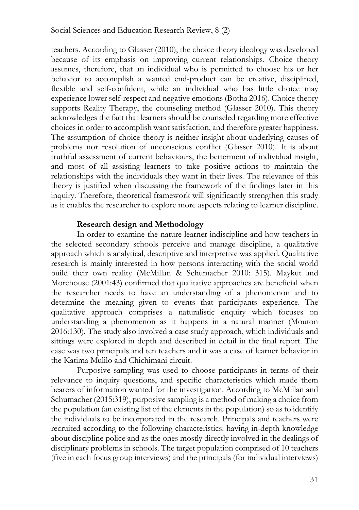teachers. According to Glasser (2010), the choice theory ideology was developed because of its emphasis on improving current relationships. Choice theory assumes, therefore, that an individual who is permitted to choose his or her behavior to accomplish a wanted end-product can be creative, disciplined, flexible and self-confident, while an individual who has little choice may experience lower self-respect and negative emotions (Botha 2016). Choice theory supports Reality Therapy, the counseling method (Glasser 2010). This theory acknowledges the fact that learners should be counseled regarding more effective choices in order to accomplish want satisfaction, and therefore greater happiness. The assumption of choice theory is neither insight about underlying causes of problems nor resolution of unconscious conflict (Glasser 2010). It is about truthful assessment of current behaviours, the betterment of individual insight, and most of all assisting learners to take positive actions to maintain the relationships with the individuals they want in their lives. The relevance of this theory is justified when discussing the framework of the findings later in this inquiry. Therefore, theoretical framework will significantly strengthen this study as it enables the researcher to explore more aspects relating to learner discipline.

## **Research design and Methodology**

In order to examine the nature learner indiscipline and how teachers in the selected secondary schools perceive and manage discipline, a qualitative approach which is analytical, descriptive and interpretive was applied. Qualitative research is mainly interested in how persons interacting with the social world build their own reality (McMillan & Schumacher 2010: 315). Maykut and Morehouse (2001:43) confirmed that qualitative approaches are beneficial when the researcher needs to have an understanding of a phenomenon and to determine the meaning given to events that participants experience. The qualitative approach comprises a naturalistic enquiry which focuses on understanding a phenomenon as it happens in a natural manner (Mouton 2016:130). The study also involved a case study approach, which individuals and sittings were explored in depth and described in detail in the final report. The case was two principals and ten teachers and it was a case of learner behavior in the Katima Mulilo and Chichimani circuit.

Purposive sampling was used to choose participants in terms of their relevance to inquiry questions, and specific characteristics which made them bearers of information wanted for the investigation. According to McMillan and Schumacher (2015:319), purposive sampling is a method of making a choice from the population (an existing list of the elements in the population) so as to identify the individuals to be incorporated in the research. Principals and teachers were recruited according to the following characteristics: having in-depth knowledge about discipline police and as the ones mostly directly involved in the dealings of disciplinary problems in schools. The target population comprised of 10 teachers (five in each focus group interviews) and the principals (for individual interviews)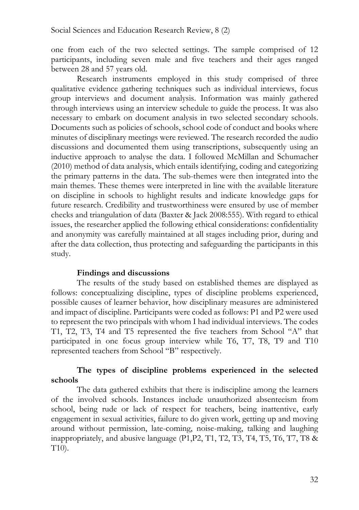one from each of the two selected settings. The sample comprised of 12 participants, including seven male and five teachers and their ages ranged between 28 and 57 years old.

Research instruments employed in this study comprised of three qualitative evidence gathering techniques such as individual interviews, focus group interviews and document analysis. Information was mainly gathered through interviews using an interview schedule to guide the process. It was also necessary to embark on document analysis in two selected secondary schools. Documents such as policies of schools, school code of conduct and books where minutes of disciplinary meetings were reviewed. The research recorded the audio discussions and documented them using transcriptions, subsequently using an inductive approach to analyse the data. I followed McMillan and Schumacher (2010) method of data analysis, which entails identifying, coding and categorizing the primary patterns in the data. The sub-themes were then integrated into the main themes. These themes were interpreted in line with the available literature on discipline in schools to highlight results and indicate knowledge gaps for future research. Credibility and trustworthiness were ensured by use of member checks and triangulation of data (Baxter & Jack 2008:555). With regard to ethical issues, the researcher applied the following ethical considerations: confidentiality and anonymity was carefully maintained at all stages including prior, during and after the data collection, thus protecting and safeguarding the participants in this study.

## **Findings and discussions**

The results of the study based on established themes are displayed as follows: conceptualizing discipline, types of discipline problems experienced, possible causes of learner behavior, how disciplinary measures are administered and impact of discipline. Participants were coded as follows: P1 and P2 were used to represent the two principals with whom I had individual interviews. The codes T1, T2, T3, T4 and T5 represented the five teachers from School "A" that participated in one focus group interview while T6, T7, T8, T9 and T10 represented teachers from School "B" respectively.

# **The types of discipline problems experienced in the selected schools**

The data gathered exhibits that there is indiscipline among the learners of the involved schools. Instances include unauthorized absenteeism from school, being rude or lack of respect for teachers, being inattentive, early engagement in sexual activities, failure to do given work, getting up and moving around without permission, late-coming, noise-making, talking and laughing inappropriately, and abusive language (P1,P2, T1, T2, T3, T4, T5, T6, T7, T8 & T10).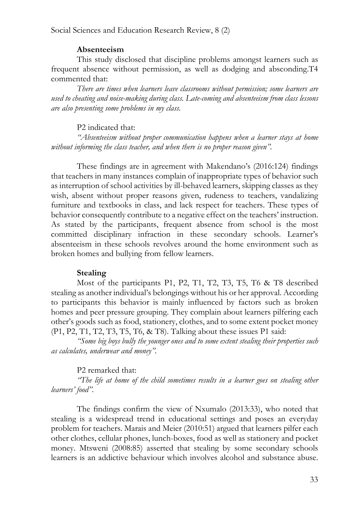#### **Absenteeism**

This study disclosed that discipline problems amongst learners such as frequent absence without permission, as well as dodging and absconding.T4 commented that:

*There are times when learners leave classrooms without permission; some learners are used to cheating and noise-making during class. Late-coming and absenteeism from class lessons are also presenting some problems in my class.*

#### P2 indicated that:

*"Absenteeism without proper communication happens when a learner stays at home without informing the class teacher, and when there is no proper reason given".*

These findings are in agreement with Makendano's (2016:124) findings that teachers in many instances complain of inappropriate types of behavior such as interruption of school activities by ill-behaved learners, skipping classes as they wish, absent without proper reasons given, rudeness to teachers, vandalizing furniture and textbooks in class, and lack respect for teachers. These types of behavior consequently contribute to a negative effect on the teachers' instruction. As stated by the participants, frequent absence from school is the most committed disciplinary infraction in these secondary schools. Learner's absenteeism in these schools revolves around the home environment such as broken homes and bullying from fellow learners.

#### **Stealing**

Most of the participants P1, P2, T1, T2, T3, T5, T6 & T8 described stealing as another individual's belongings without his or her approval. According to participants this behavior is mainly influenced by factors such as broken homes and peer pressure grouping. They complain about learners pilfering each other's goods such as food, stationery, clothes, and to some extent pocket money (P1, P2, T1, T2, T3, T5, T6, & T8). Talking about these issues P1 said:

*"Some big boys bully the younger ones and to some extent stealing their properties such as calculates, underwear and money".*

## P2 remarked that:

*"The life at home of the child sometimes results in a learner goes on stealing other learners' food".*

The findings confirm the view of Nxumalo (2013:33), who noted that stealing is a widespread trend in educational settings and poses an everyday problem for teachers. Marais and Meier (2010:51) argued that learners pilfer each other clothes, cellular phones, lunch-boxes, food as well as stationery and pocket money. Mtsweni (2008:85) asserted that stealing by some secondary schools learners is an addictive behaviour which involves alcohol and substance abuse.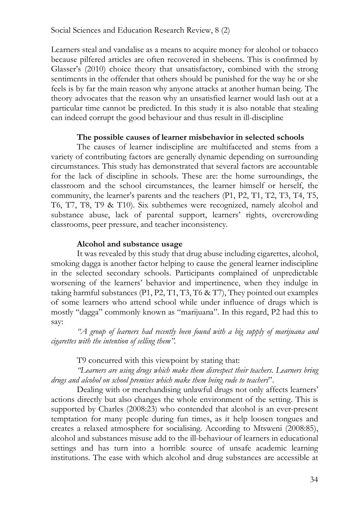Learners steal and vandalise as a means to acquire money for alcohol or tobacco because pilfered articles are often recovered in shebeens. This is confirmed by Glasser's (2010) choice theory that unsatisfactory, combined with the strong sentiments in the offender that others should be punished for the way he or she feels is by far the main reason why anyone attacks at another human being. The theory advocates that the reason why an unsatisfied learner would lash out at a particular time cannot be predicted. In this study it is also notable that stealing can indeed corrupt the good behaviour and thus result in ill-discipline

## **The possible causes of learner misbehavior in selected schools**

The causes of learner indiscipline are multifaceted and stems from a variety of contributing factors are generally dynamic depending on surrounding circumstances. This study has demonstrated that several factors are accountable for the lack of discipline in schools. These are: the home surroundings, the classroom and the school circumstances, the learner himself or herself, the community, the learner's parents and the teachers (P1, P2, T1, T2, T3, T4, T5, T6, T7, T8, T9 & T10). Six subthemes were recognized, namely alcohol and substance abuse, lack of parental support, learners' rights, overcrowding classrooms, peer pressure, and teacher inconsistency.

#### **Alcohol and substance usage**

It was revealed by this study that drug abuse including cigarettes, alcohol, smoking dagga is another factor helping to cause the general learner indiscipline in the selected secondary schools. Participants complained of unpredictable worsening of the learners' behavior and impertinence, when they indulge in taking harmful substances (P1, P2, T1, T3, T6 & T7), They pointed out examples of some learners who attend school while under influence of drugs which is mostly "dagga" commonly known as "marijuana". In this regard, P2 had this to say:

*"A group of learners had recently been found with a big supply of marijuana and cigarettes with the intention of selling them".*

T9 concurred with this viewpoint by stating that:

*"Learners are using drugs which make them disrespect their teachers. Learners bring drugs and alcohol on school premises which make them being rude to teachers*".

Dealing with or merchandising unlawful drugs not only affects learners' actions directly but also changes the whole environment of the setting. This is supported by Charles (2008:23) who contended that alcohol is an ever-present temptation for many people during fun times, as it help loosen tongues and creates a relaxed atmosphere for socialising. According to Mtsweni (2008:85), alcohol and substances misuse add to the ill-behaviour of learners in educational settings and has turn into a horrible source of unsafe academic learning institutions. The ease with which alcohol and drug substances are accessible at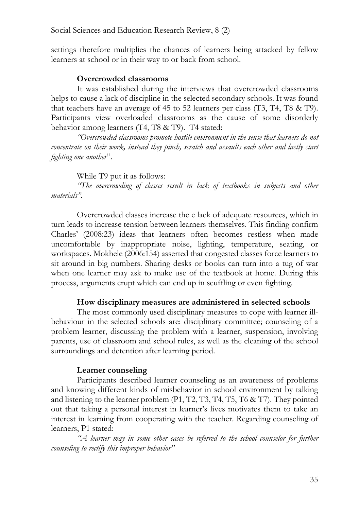settings therefore multiplies the chances of learners being attacked by fellow learners at school or in their way to or back from school.

# **Overcrowded classrooms**

It was established during the interviews that overcrowded classrooms helps to cause a lack of discipline in the selected secondary schools. It was found that teachers have an average of 45 to 52 learners per class (T3, T4, T8 & T9). Participants view overloaded classrooms as the cause of some disorderly behavior among learners (T4, T8 & T9). T4 stated:

*"Overcrowded classrooms promote hostile environment in the sense that learners do not concentrate on their work, instead they pinch, scratch and assaults each other and lastly start fighting one another*".

While T9 put it as follows:

*"The overcrowding of classes result in lack of textbooks in subjects and other materials".*

Overcrowded classes increase the e lack of adequate resources, which in turn leads to increase tension between learners themselves. This finding confirm Charles' (2008:23) ideas that learners often becomes restless when made uncomfortable by inappropriate noise, lighting, temperature, seating, or workspaces. Mokhele (2006:154) asserted that congested classes force learners to sit around in big numbers. Sharing desks or books can turn into a tug of war when one learner may ask to make use of the textbook at home. During this process, arguments erupt which can end up in scuffling or even fighting.

## **How disciplinary measures are administered in selected schools**

The most commonly used disciplinary measures to cope with learner illbehaviour in the selected schools are: disciplinary committee; counseling of a problem learner, discussing the problem with a learner, suspension, involving parents, use of classroom and school rules, as well as the cleaning of the school surroundings and detention after learning period.

## **Learner counseling**

Participants described learner counseling as an awareness of problems and knowing different kinds of misbehavior in school environment by talking and listening to the learner problem (P1, T2, T3, T4, T5, T6 & T7). They pointed out that taking a personal interest in learner's lives motivates them to take an interest in learning from cooperating with the teacher. Regarding counseling of learners, P1 stated:

*"A learner may in some other cases be referred to the school counselor for further counseling to rectify this improper behavior"*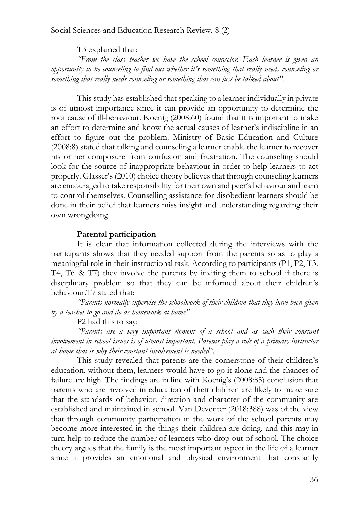T3 explained that:

*"From the class teacher we have the school counselor. Each learner is given an opportunity to be counseling to find out whether it's something that really needs counseling or something that really needs counseling or something that can just be talked about".*

This study has established that speaking to a learner individually in private is of utmost importance since it can provide an opportunity to determine the root cause of ill-behaviour. Koenig (2008:60) found that it is important to make an effort to determine and know the actual causes of learner's indiscipline in an effort to figure out the problem. Ministry of Basic Education and Culture (2008:8) stated that talking and counseling a learner enable the learner to recover his or her composure from confusion and frustration. The counseling should look for the source of inappropriate behaviour in order to help learners to act properly. Glasser's (2010) choice theory believes that through counseling learners are encouraged to take responsibility for their own and peer's behaviour and learn to control themselves. Counselling assistance for disobedient learners should be done in their belief that learners miss insight and understanding regarding their own wrongdoing.

#### **Parental participation**

It is clear that information collected during the interviews with the participants shows that they needed support from the parents so as to play a meaningful role in their instructional task. According to participants (P1, P2, T3, T4, T6 & T7) they involve the parents by inviting them to school if there is disciplinary problem so that they can be informed about their children's behaviour.T7 stated that:

*"Parents normally supervise the schoolwork of their children that they have been given by a teacher to go and do as homework at home".*

P2 had this to say:

*"Parents are a very important element of a school and as such their constant involvement in school issues is of utmost important. Parents play a role of a primary instructor at home that is why their constant involvement is needed".*

This study revealed that parents are the cornerstone of their children's education, without them, learners would have to go it alone and the chances of failure are high. The findings are in line with Koenig's (2008:85) conclusion that parents who are involved in education of their children are likely to make sure that the standards of behavior, direction and character of the community are established and maintained in school. Van Deventer (2018:388) was of the view that through community participation in the work of the school parents may become more interested in the things their children are doing, and this may in turn help to reduce the number of learners who drop out of school. The choice theory argues that the family is the most important aspect in the life of a learner since it provides an emotional and physical environment that constantly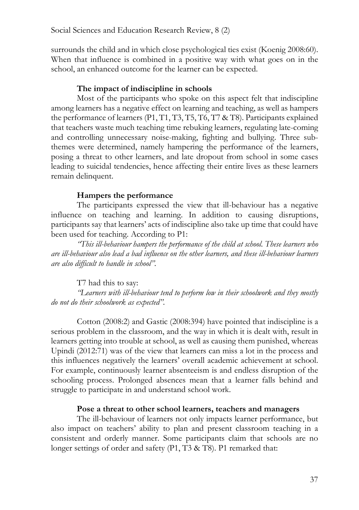surrounds the child and in which close psychological ties exist (Koenig 2008:60). When that influence is combined in a positive way with what goes on in the school, an enhanced outcome for the learner can be expected.

# **The impact of indiscipline in schools**

Most of the participants who spoke on this aspect felt that indiscipline among learners has a negative effect on learning and teaching, as well as hampers the performance of learners (P1, T1, T3, T5, T6, T7 & T8). Participants explained that teachers waste much teaching time rebuking learners, regulating late-coming and controlling unnecessary noise-making, fighting and bullying. Three subthemes were determined, namely hampering the performance of the learners, posing a threat to other learners, and late dropout from school in some cases leading to suicidal tendencies, hence affecting their entire lives as these learners remain delinquent.

## **Hampers the performance**

The participants expressed the view that ill-behaviour has a negative influence on teaching and learning. In addition to causing disruptions, participants say that learners' acts of indiscipline also take up time that could have been used for teaching. According to P1:

*"This ill-behaviour hampers the performance of the child at school. These learners who are ill-behaviour also lead a bad influence on the other learners, and these ill-behaviour learners are also difficult to handle in school".*

T7 had this to say:

*"Learners with ill-behaviour tend to perform low in their schoolwork and they mostly do not do their schoolwork as expected".*

Cotton (2008:2) and Gastic (2008:394) have pointed that indiscipline is a serious problem in the classroom, and the way in which it is dealt with, result in learners getting into trouble at school, as well as causing them punished, whereas Upindi (2012:71) was of the view that learners can miss a lot in the process and this influences negatively the learners' overall academic achievement at school. For example, continuously learner absenteeism is and endless disruption of the schooling process. Prolonged absences mean that a learner falls behind and struggle to participate in and understand school work.

## **Pose a threat to other school learners, teachers and managers**

The ill-behaviour of learners not only impacts learner performance, but also impact on teachers' ability to plan and present classroom teaching in a consistent and orderly manner. Some participants claim that schools are no longer settings of order and safety (P1, T3 & T8). P1 remarked that: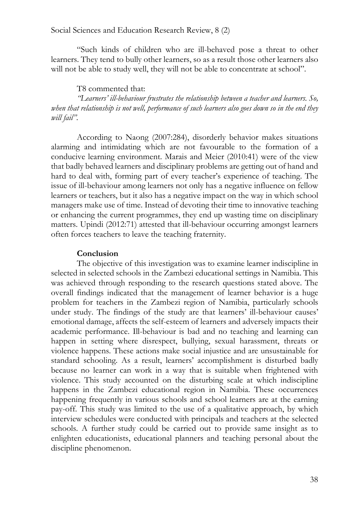"Such kinds of children who are ill-behaved pose a threat to other learners. They tend to bully other learners, so as a result those other learners also will not be able to study well, they will not be able to concentrate at school".

T8 commented that:

*"Learners' ill-behaviour frustrates the relationship between a teacher and learners. So, when that relationship is not well, performance of such learners also goes down so in the end they will fail".*

According to Naong (2007:284), disorderly behavior makes situations alarming and intimidating which are not favourable to the formation of a conducive learning environment. Marais and Meier (2010:41) were of the view that badly behaved learners and disciplinary problems are getting out of hand and hard to deal with, forming part of every teacher's experience of teaching. The issue of ill-behaviour among learners not only has a negative influence on fellow learners or teachers, but it also has a negative impact on the way in which school managers make use of time. Instead of devoting their time to innovative teaching or enhancing the current programmes, they end up wasting time on disciplinary matters. Upindi (2012:71) attested that ill-behaviour occurring amongst learners often forces teachers to leave the teaching fraternity.

## **Conclusion**

The objective of this investigation was to examine learner indiscipline in selected in selected schools in the Zambezi educational settings in Namibia. This was achieved through responding to the research questions stated above. The overall findings indicated that the management of learner behavior is a huge problem for teachers in the Zambezi region of Namibia, particularly schools under study. The findings of the study are that learners' ill-behaviour causes' emotional damage, affects the self-esteem of learners and adversely impacts their academic performance. Ill-behaviour is bad and no teaching and learning can happen in setting where disrespect, bullying, sexual harassment, threats or violence happens. These actions make social injustice and are unsustainable for standard schooling. As a result, learners' accomplishment is disturbed badly because no learner can work in a way that is suitable when frightened with violence. This study accounted on the disturbing scale at which indiscipline happens in the Zambezi educational region in Namibia. These occurrences happening frequently in various schools and school learners are at the earning pay-off. This study was limited to the use of a qualitative approach, by which interview schedules were conducted with principals and teachers at the selected schools. A further study could be carried out to provide same insight as to enlighten educationists, educational planners and teaching personal about the discipline phenomenon.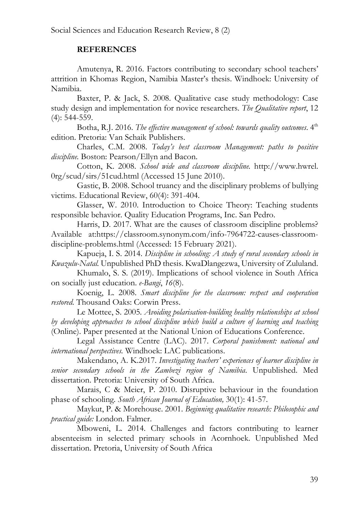# **REFERENCES**

Amutenya, R. 2016. Factors contributing to secondary school teachers' attrition in Khomas Region, Namibia Master's thesis. Windhoek: University of Namibia.

Baxter, P. & Jack, S. 2008. Qualitative case study methodology: Case study design and implementation for novice researchers. *The Qualitative report*, 12 (4): 544-559.

Botha, R.J. 2016. *The effective management of school: towards quality outcomes*. 4<sup>th</sup> edition. Pretoria: Van Schaik Publishers.

Charles, C.M. 2008. *Today's best classroom Management: paths to positive discipline.* Boston: Pearson/Ellyn and Bacon.

Cotton, K. 2008. *School wide and classroom discipline.* http://www.hwrel. 0rg/scud/sirs/51cud.html (Accessed 15 June 2010).

Gastic, B. 2008. School truancy and the disciplinary problems of bullying victims. Educational Review, 60(4): 391-404.

Glasser, W. 2010. Introduction to Choice Theory: Teaching students responsible behavior. Quality Education Programs, Inc. San Pedro.

Harris, D. 2017. What are the causes of classroom discipline problems? Available at:https://classroom.synonym.com/info-7964722-causes-classroomdiscipline-problems.html (Accessed: 15 February 2021).

Kapueja, I. S. 2014. *Discipline in schooling: A study of rural secondary schools in Kwazulu-Natal.* Unpublished PhD thesis. KwaDlangezwa, University of Zululand.

Khumalo, S. S. (2019). Implications of school violence in South Africa on socially just education. *e-Bangi*, *16*(8).

Koenig, L. 2008. *Smart discipline for the classroom: respect and cooperation restored.* Thousand Oaks: Corwin Press.

Le Mottee, S. 2005*. Avoiding polarisation-building healthy relationships at school by developing approaches to school discipline which build a culture of learning and teaching* (Online). Paper presented at the National Union of Educations Conference.

Legal Assistance Centre (LAC). 2017. *Corporal punishment: national and international perspectives.* Windhoek: LAC publications.

Makendano, A. K.2017. *Investigating teachers' experiences of learner discipline in senior secondary schools in the Zambezi region of Namibia*. Unpublished. Med dissertation. Pretoria: University of South Africa.

Marais, C & Meier, P. 2010. Disruptive behaviour in the foundation phase of schooling*. South African Journal of Education,* 30(1): 41-57.

Maykut, P. & Morehouse. 2001. *Beginning qualitative research: Philosophic and practical guide:* London. Falmer.

Mboweni, L. 2014. Challenges and factors contributing to learner absenteeism in selected primary schools in Acornhoek. Unpublished Med dissertation. Pretoria, University of South Africa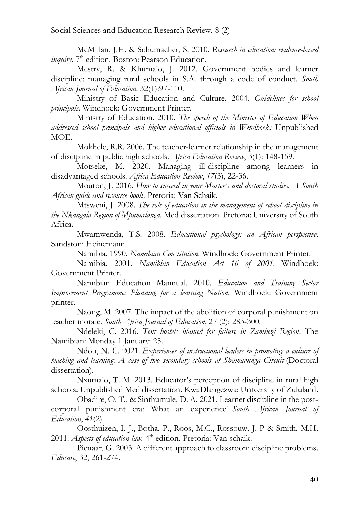McMillan, J.H. & Schumacher, S. 2010. *Research in education: evidence-based inquiry*. 7<sup>th</sup> edition. Boston: Pearson Education.

Mestry, R. & Khumalo, J. 2012. Government bodies and learner discipline: managing rural schools in S.A. through a code of conduct*. South African Journal of Education,* 32(1):97-110.

Ministry of Basic Education and Culture. 2004. *Guidelines for school principals*. Windhoek: Government Printer.

Ministry of Education. 2010*. The speech of the Minister of Education When addressed school principals and higher educational officials in Windhoek:* Unpublished MOE.

Mokhele, R.R. 2006. The teacher-learner relationship in the management of discipline in public high schools. *Africa Education Review*, 3(1): 148-159.

Motseke, M. 2020. Managing ill-discipline among learners in disadvantaged schools. *Africa Education Review*, *17*(3), 22-36.

Mouton, J. 2016. *How to succeed in your Master's and doctoral studies. A South African guide and resource book*. Pretoria: Van Schaik.

Mtsweni, J. 2008. *The role of education in the management of school discipline in the Nkangala Region of Mpumalanga*. Med dissertation. Pretoria: University of South Africa.

Mwamwenda, T.S. 2008. *Educational psychology: an African perspective*. Sandston: Heinemann.

Namibia. 1990. *Namibian Constitution*. Windhoek: Government Printer.

Namibia. 2001*. Namibian Education Act 16 of 2001*. Windhoek: Government Printer.

Namibian Education Mannual. 2010. *Education and Training Sector Improvement Programme: Planning for a learning Nation*. Windhoek: Government printer.

Naong, M. 2007. The impact of the abolition of corporal punishment on teacher morale*. South Africa Journal of Education*, 27 (2): 283-300.

Ndeleki, C. 2016. *Tent hostels blamed for failure in Zambezi Region*. The Namibian: Monday 1 January: 25.

Ndou, N. C. 2021. *Experiences of instructional leaders in promoting a culture of teaching and learning: A case of two secondary schools at Shamavunga Circuit* (Doctoral dissertation).

Nxumalo, T. M. 2013. Educator's perception of discipline in rural high schools. Unpublished Med dissertation. KwaDlangezwa: University of Zululand.

Obadire, O. T., & Sinthumule, D. A. 2021. Learner discipline in the postcorporal punishment era: What an experience!. *South African Journal of Education*, *41*(2).

Oosthuizen, I. J., Botha, P., Roos, M.C., Rossouw, J. P & Smith, M.H. 2011. Aspects of education law. 4<sup>th</sup> edition. Pretoria: Van schaik.

Pienaar, G. 2003. A different approach to classroom discipline problems. *Educare*, 32, 261-274.